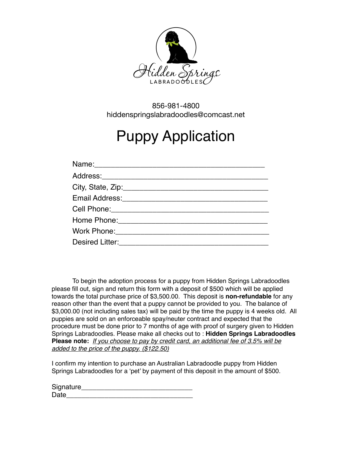

856-981-4800 hiddenspringslabradoodles@comcast.net

# Puppy Application

| Name: 2008 2010 2020 2021 2022 2023 2024 2022 2022 2023 2024 2022 2023 2024 2022 2023 2024 2022 2023 2024 2025 |
|----------------------------------------------------------------------------------------------------------------|
|                                                                                                                |
|                                                                                                                |
|                                                                                                                |
|                                                                                                                |
|                                                                                                                |
|                                                                                                                |
| Desired Litter:<br><u> </u>                                                                                    |

To begin the adoption process for a puppy from Hidden Springs Labradoodles please fill out, sign and return this form with a deposit of \$500 which will be applied towards the total purchase price of \$3,500.00. This deposit is **non-refundable** for any reason other than the event that a puppy cannot be provided to you. The balance of \$3,000.00 (not including sales tax) will be paid by the time the puppy is 4 weeks old. All puppies are sold on an enforceable spay/neuter contract and expected that the procedure must be done prior to 7 months of age with proof of surgery given to Hidden Springs Labradoodles. Please make all checks out to : **Hidden Springs Labradoodles Please note:** *If you choose to pay by credit card, an additional fee of 3.5% will be added to the price of the puppy. (\$122.50)* 

I confirm my intention to purchase an Australian Labradoodle puppy from Hidden Springs Labradoodles for a 'pet' by payment of this deposit in the amount of \$500.

| Signature |  |
|-----------|--|
| Date      |  |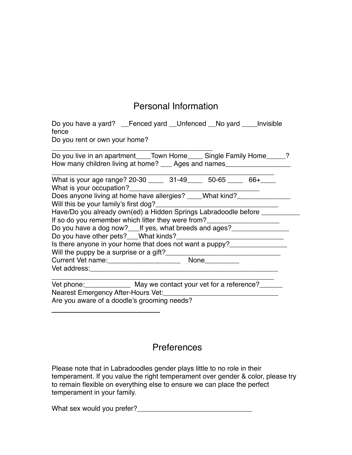## Personal Information

| Do you have a yard? __Fenced yard __Unfenced __No yard ____Invisible<br>fence<br>Do you rent or own your home?                                                                                                                      |
|-------------------------------------------------------------------------------------------------------------------------------------------------------------------------------------------------------------------------------------|
| Do you live in an apartment_____Town Home_____ Single Family Home_____?<br>How many children living at home? ____ Ages and names___________________________                                                                         |
| What is your age range? 20-30 _____ 31-49 ____ 50-65 ____ 66+<br>What is your occupation?<br>Does anyone living at home have allergies? ____What kind?                                                                              |
| Have/Do you already own(ed) a Hidden Springs Labradoodle before _____<br>If so do you remember which litter they were from?______________________________                                                                           |
| Do you have a dog now? If yes, what breeds and ages?<br>Is there anyone in your home that does not want a puppy?________________________                                                                                            |
|                                                                                                                                                                                                                                     |
| <b>Vet address:</b> We are a series of the series of the series of the series of the series of the series of the series of the series of the series of the series of the series of the series of the series of the series of the se |
| Vet phone: _______________ May we contact your vet for a reference?_____                                                                                                                                                            |

Nearest Emergency After-Hours Vet:\_\_\_\_\_\_\_\_\_\_\_\_\_\_\_\_\_\_\_\_\_\_\_\_\_\_\_\_\_\_

\_\_\_\_\_\_\_\_\_\_\_\_\_\_\_\_\_\_\_\_\_\_\_\_\_

Are you aware of a doodle's grooming needs?

### **Preferences**

Please note that in Labradoodles gender plays little to no role in their temperament. If you value the right temperament over gender & color, please try to remain flexible on everything else to ensure we can place the perfect temperament in your family.

What sex would you prefer?\_\_\_\_\_\_\_\_\_\_\_\_\_\_\_\_\_\_\_\_\_\_\_\_\_\_\_\_\_\_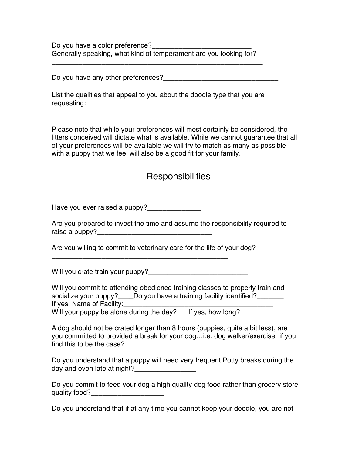Do you have a color preference? Generally speaking, what kind of temperament are you looking for?

\_\_\_\_\_\_\_\_\_\_\_\_\_\_\_\_\_\_\_\_\_\_\_\_\_\_\_\_\_\_\_\_\_\_\_\_\_\_\_\_\_\_\_\_\_\_\_\_\_\_\_\_\_\_\_

Do you have any other preferences?\_\_\_\_\_\_\_\_\_\_\_\_\_\_\_\_\_\_\_\_\_\_\_\_\_\_\_\_\_\_

List the qualities that appeal to you about the doodle type that you are requesting: \_\_\_\_\_\_\_\_\_\_\_\_\_\_\_\_\_\_\_\_\_\_\_\_\_\_\_\_\_\_\_\_\_\_\_\_\_\_\_\_\_\_\_\_\_\_\_\_\_\_\_\_\_\_\_

Please note that while your preferences will most certainly be considered, the litters conceived will dictate what is available. While we cannot guarantee that all of your preferences will be available we will try to match as many as possible with a puppy that we feel will also be a good fit for your family.

## **Responsibilities**

Have you ever raised a puppy?

Are you prepared to invest the time and assume the responsibility required to raise a puppy?

Are you willing to commit to veterinary care for the life of your dog?

\_\_\_\_\_\_\_\_\_\_\_\_\_\_\_\_\_\_\_\_\_\_\_\_\_\_\_\_\_\_\_\_\_\_\_\_\_\_\_\_\_\_\_\_\_\_

Will you crate train your puppy?<br>

Will you commit to attending obedience training classes to properly train and socialize your puppy? Do you have a training facility identified? If yes, Name of Facility:

Will your puppy be alone during the day?\_\_\_If yes, how long?

A dog should not be crated longer than 8 hours (puppies, quite a bit less), are you committed to provided a break for your dog…i.e. dog walker/exerciser if you find this to be the case?

Do you understand that a puppy will need very frequent Potty breaks during the day and even late at night?\_\_\_\_\_\_\_\_\_\_\_\_\_\_\_\_

Do you commit to feed your dog a high quality dog food rather than grocery store quality food?

Do you understand that if at any time you cannot keep your doodle, you are not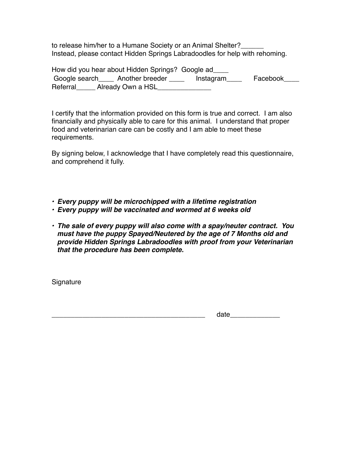to release him/her to a Humane Society or an Animal Shelter? Instead, please contact Hidden Springs Labradoodles for help with rehoming.

How did you hear about Hidden Springs? Google ad\_\_\_\_ Google search Another breeder **Instagram** Facebook Referral Already Own a HSL

I certify that the information provided on this form is true and correct. I am also financially and physically able to care for this animal. I understand that proper food and veterinarian care can be costly and I am able to meet these requirements.

By signing below, I acknowledge that I have completely read this questionnaire, and comprehend it fully.

- *• Every puppy will be microchipped with a lifetime registration*
- *• Every puppy will be vaccinated and wormed at 6 weeks old*
- *• The sale of every puppy will also come with a spay/neuter contract. You must have the puppy Spayed/Neutered by the age of 7 Months old and provide Hidden Springs Labradoodles with proof from your Veterinarian that the procedure has been complete.*

**Signature** 

 $_\text{date}$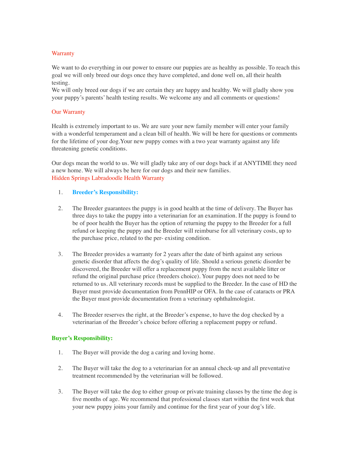#### **Warranty**

We want to do everything in our power to ensure our puppies are as healthy as possible. To reach this goal we will only breed our dogs once they have completed, and done well on, all their health testing.

We will only breed our dogs if we are certain they are happy and healthy. We will gladly show you your puppy's parents' health testing results. We welcome any and all comments or questions!

#### Our Warranty

Health is extremely important to us. We are sure your new family member will enter your family with a wonderful temperament and a clean bill of health. We will be here for questions or comments for the lifetime of your dog.Your new puppy comes with a two year warranty against any life threatening genetic conditions.

Our dogs mean the world to us. We will gladly take any of our dogs back if at ANYTIME they need a new home. We will always be here for our dogs and their new families. Hidden Springs Labradoodle Health Warranty

#### 1. **Breeder's Responsibility:**

- 2. The Breeder guarantees the puppy is in good health at the time of delivery. The Buyer has three days to take the puppy into a veterinarian for an examination. If the puppy is found to be of poor health the Buyer has the option of returning the puppy to the Breeder for a full refund or keeping the puppy and the Breeder will reimburse for all veterinary costs, up to the purchase price, related to the per- existing condition.
- 3. The Breeder provides a warranty for 2 years after the date of birth against any serious genetic disorder that affects the dog's quality of life. Should a serious genetic disorder be discovered, the Breeder will offer a replacement puppy from the next available litter or refund the original purchase price (breeders choice). Your puppy does not need to be returned to us. All veterinary records must be supplied to the Breeder. In the case of HD the Buyer must provide documentation from PennHIP or OFA. In the case of cataracts or PRA the Buyer must provide documentation from a veterinary ophthalmologist.
- 4. The Breeder reserves the right, at the Breeder's expense, to have the dog checked by a veterinarian of the Breeder's choice before offering a replacement puppy or refund.

#### **Buyer's Responsibility:**

- 1. The Buyer will provide the dog a caring and loving home.
- 2. The Buyer will take the dog to a veterinarian for an annual check-up and all preventative treatment recommended by the veterinarian will be followed.
- 3. The Buyer will take the dog to either group or private training classes by the time the dog is five months of age. We recommend that professional classes start within the first week that your new puppy joins your family and continue for the first year of your dog's life.